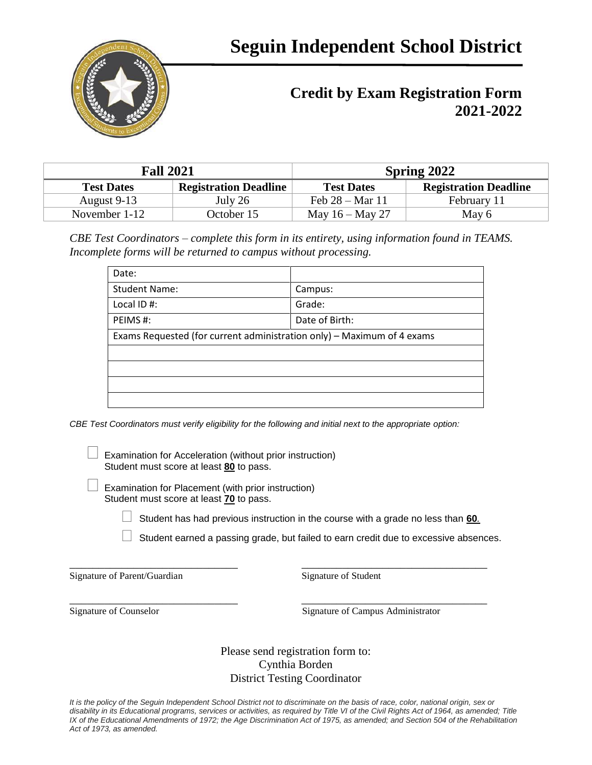

## **Credit by Exam Registration Form 2021-2022**

| <b>Fall 2021</b>  |                              | <b>Spring 2022</b>        |                              |
|-------------------|------------------------------|---------------------------|------------------------------|
| <b>Test Dates</b> | <b>Registration Deadline</b> | <b>Test Dates</b>         | <b>Registration Deadline</b> |
| August 9-13       | July 26                      | Feb $28 - \text{Mar } 11$ | February 11                  |
| November 1-12     | October 15                   | May $16 -$ May 27         | May 6                        |

*CBE Test Coordinators – complete this form in its entirety, using information found in TEAMS. Incomplete forms will be returned to campus without processing.* 

| Date:                                                                  |                |  |
|------------------------------------------------------------------------|----------------|--|
| <b>Student Name:</b>                                                   | Campus:        |  |
| Local ID#:                                                             | Grade:         |  |
| PEIMS#:                                                                | Date of Birth: |  |
| Exams Requested (for current administration only) - Maximum of 4 exams |                |  |
|                                                                        |                |  |
|                                                                        |                |  |
|                                                                        |                |  |
|                                                                        |                |  |

*CBE Test Coordinators must verify eligibility for the following and initial next to the appropriate option:*

 Examination for Acceleration (without prior instruction) Student must score at least **80** to pass.

 Examination for Placement (with prior instruction) Student must score at least **70** to pass.

Student has had previous instruction in the course with a grade no less than **60***.*

\_\_\_\_\_\_\_\_\_\_\_\_\_\_\_\_\_\_\_\_\_\_\_\_\_\_\_\_\_ \_\_\_\_\_\_\_\_\_\_\_\_\_\_\_\_\_\_\_\_\_\_\_\_\_\_\_\_\_\_\_\_

 $\Box$  Student earned a passing grade, but failed to earn credit due to excessive absences.

Signature of Parent/Guardian Signature of Student

\_\_\_\_\_\_\_\_\_\_\_\_\_\_\_\_\_\_\_\_\_\_\_\_\_\_\_\_\_ \_\_\_\_\_\_\_\_\_\_\_\_\_\_\_\_\_\_\_\_\_\_\_\_\_\_\_\_\_\_\_\_ Signature of Counselor Signature of Campus Administrator

> Please send registration form to: Cynthia Borden District Testing Coordinator

*It is the policy of the Seguin Independent School District not to discriminate on the basis of race, color, national origin, sex or disability in its Educational programs, services or activities, as required by Title VI of the Civil Rights Act of 1964, as amended; Title IX of the Educational Amendments of 1972; the Age Discrimination Act of 1975, as amended; and Section 504 of the Rehabilitation Act of 1973, as amended.*